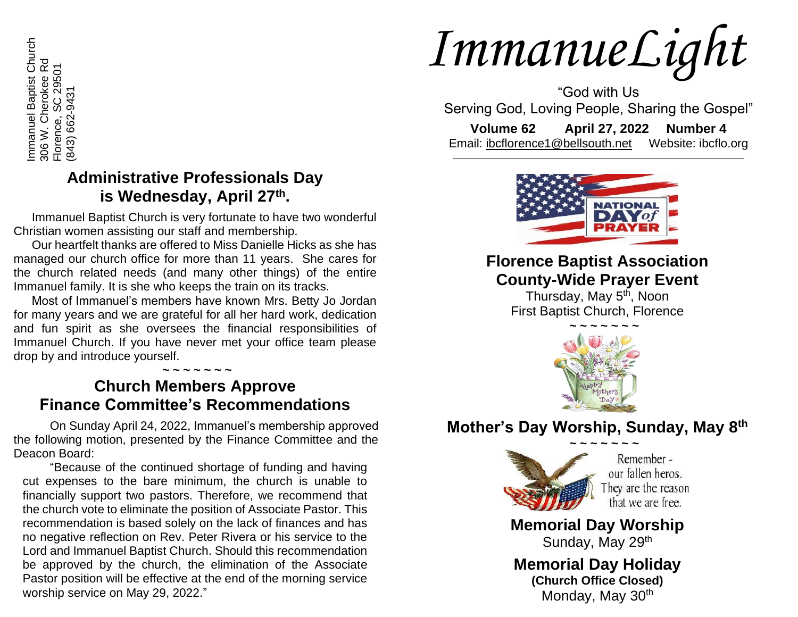Immanuel Baptist Church<br>306 W. Cherokee Rd<br>Florence, SC 29501 Immanuel Baptist Church 306 W. Cherokee Rd Florence, SC 29501 843) 662-9431 (843) 662-9431 Florence,

## **Administrative Professionals Day is Wednesday, April 27th .**

Immanuel Baptist Church is very fortunate to have two wonderful Christian women assisting our staff and membership.

Our heartfelt thanks are offered to Miss Danielle Hicks as she has managed our church office for more than 11 years. She cares for the church related needs (and many other things) of the entire Immanuel family. It is she who keeps the train on its tracks.

Most of Immanuel's members have known Mrs. Betty Jo Jordan for many years and we are grateful for all her hard work, dedication and fun spirit as she oversees the financial responsibilities of Immanuel Church. If you have never met your office team please drop by and introduce yourself.

#### **~ ~ ~ ~ ~ ~ ~ Church Members Approve Finance Committee's Recommendations**

On Sunday April 24, 2022, Immanuel's membership approved the following motion, presented by the Finance Committee and the Deacon Board:

"Because of the continued shortage of funding and having cut expenses to the bare minimum, the church is unable to financially support two pastors. Therefore, we recommend that the church vote to eliminate the position of Associate Pastor. This recommendation is based solely on the lack of finances and has no negative reflection on Rev. Peter Rivera or his service to the Lord and Immanuel Baptist Church. Should this recommendation be approved by the church, the elimination of the Associate Pastor position will be effective at the end of the morning service worship service on May 29, 2022."

# *ImmanueLight*

"God with Us Serving God, Loving People, Sharing the Gospel"

**Volume 62 April 27, 2022 Number 4** Email: [ibcflorence1@bellsouth.net](mailto:ibcflorence1@bellsouth.net) Website: ibcflo.org  $\_$  , and the set of the set of the set of the set of the set of the set of the set of the set of the set of the set of the set of the set of the set of the set of the set of the set of the set of the set of the set of th



# **Florence Baptist Association County-Wide Prayer Event**

Thursday, May 5<sup>th</sup>, Noon First Baptist Church, Florence



# **Mother's Day Worship, Sunday, May 8th**



Remember our fallen heros. They are the reason that we are free.

**Memorial Day Worship** Sunday, May 29<sup>th</sup>

**Memorial Day Holiday (Church Office Closed)** Monday, May 30<sup>th</sup>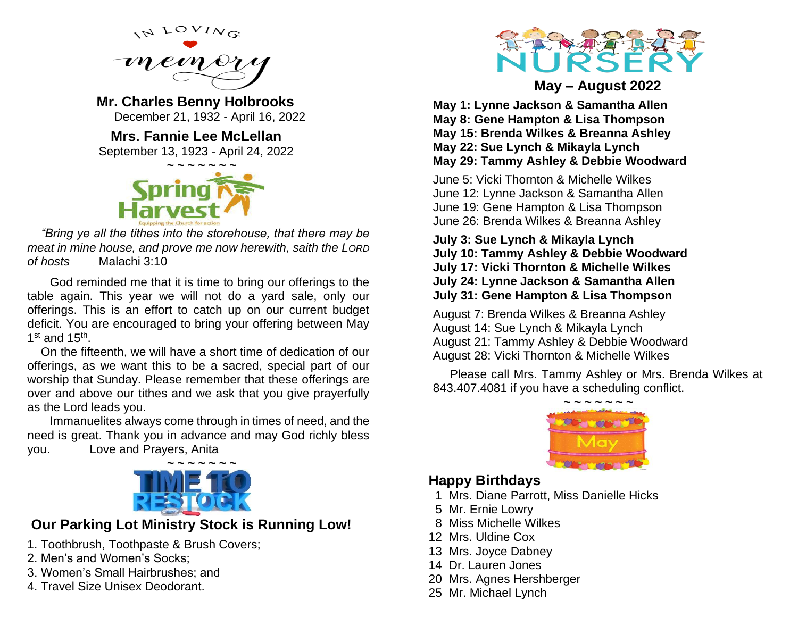

**Mr. Charles Benny Holbrooks** December 21, 1932 - April 16, 2022

**Mrs. Fannie Lee McLellan** September 13, 1923 - April 24, 2022



*"Bring ye all the tithes into the storehouse, that there may be meat in mine house, and prove me now herewith, saith the LORD of hosts* Malachi 3:10

God reminded me that it is time to bring our offerings to the table again. This year we will not do a yard sale, only our offerings. This is an effort to catch up on our current budget deficit. You are encouraged to bring your offering between May  $1<sup>st</sup>$  and  $15<sup>th</sup>$ .

On the fifteenth, we will have a short time of dedication of our offerings, as we want this to be a sacred, special part of our worship that Sunday. Please remember that these offerings are over and above our tithes and we ask that you give prayerfully as the Lord leads you.

Immanuelites always come through in times of need, and the need is great. Thank you in advance and may God richly bless you. Love and Prayers, Anita



## **Our Parking Lot Ministry Stock is Running Low!**

- 1. Toothbrush, Toothpaste & Brush Covers;
- 2. Men's and Women's Socks;
- 3. Women's Small Hairbrushes; and
- 4. Travel Size Unisex Deodorant.



**May – August 2022**

**May 1: Lynne Jackson & Samantha Allen May 8: Gene Hampton & Lisa Thompson May 15: Brenda Wilkes & Breanna Ashley May 22: Sue Lynch & Mikayla Lynch May 29: Tammy Ashley & Debbie Woodward**

June 5: Vicki Thornton & Michelle Wilkes June 12: Lynne Jackson & Samantha Allen June 19: Gene Hampton & Lisa Thompson June 26: Brenda Wilkes & Breanna Ashley

**July 3: Sue Lynch & Mikayla Lynch July 10: Tammy Ashley & Debbie Woodward July 17: Vicki Thornton & Michelle Wilkes July 24: Lynne Jackson & Samantha Allen July 31: Gene Hampton & Lisa Thompson**

August 7: Brenda Wilkes & Breanna Ashley August 14: Sue Lynch & Mikayla Lynch August 21: Tammy Ashley & Debbie Woodward August 28: Vicki Thornton & Michelle Wilkes

 Please call Mrs. Tammy Ashley or Mrs. Brenda Wilkes at 843.407.4081 if you have a scheduling conflict.



#### **Happy Birthdays**

- 1 Mrs. Diane Parrott, Miss Danielle Hicks
- 5 Mr. Ernie Lowry
- 8 Miss Michelle Wilkes
- 12 Mrs. Uldine Cox
- 13 Mrs. Joyce Dabney
- 14 Dr. Lauren Jones
- 20 Mrs. Agnes Hershberger
- 25 Mr. Michael Lynch